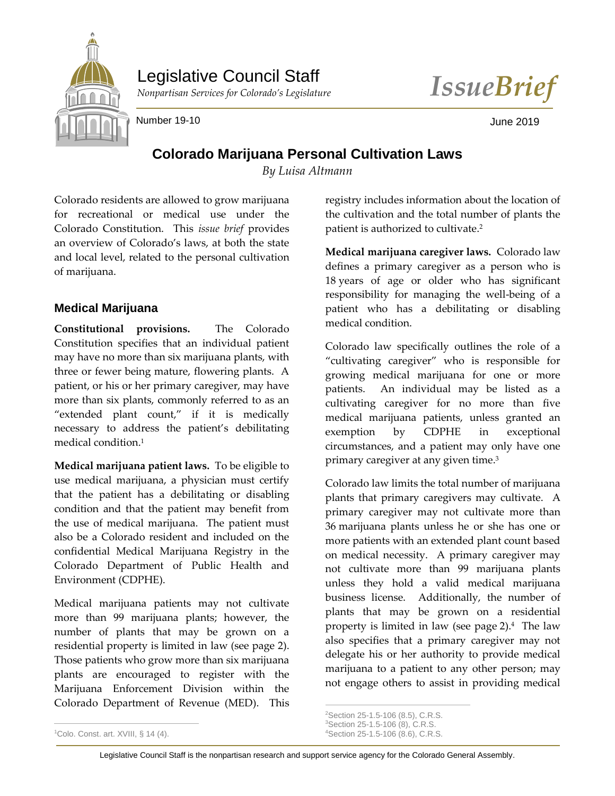

# Legislative Council Staff

*Nonpartisan Services for Colorado's Legislature IssueBrief*

Number 19-10 **June 2019** 

## **Colorado Marijuana Personal Cultivation Laws**

*By Luisa Altmann*

Colorado residents are allowed to grow marijuana for recreational or medical use under the Colorado Constitution. This *issue brief* provides an overview of Colorado's laws, at both the state and local level, related to the personal cultivation of marijuana.

### **Medical Marijuana**

**Constitutional provisions.** The Colorado Constitution specifies that an individual patient may have no more than six marijuana plants, with three or fewer being mature, flowering plants. A patient, or his or her primary caregiver, may have more than six plants, commonly referred to as an "extended plant count," if it is medically necessary to address the patient's debilitating medical condition.<sup>1</sup>

**Medical marijuana patient laws.** To be eligible to use medical marijuana, a physician must certify that the patient has a debilitating or disabling condition and that the patient may benefit from the use of medical marijuana. The patient must also be a Colorado resident and included on the confidential Medical Marijuana Registry in the Colorado Department of Public Health and Environment (CDPHE).

Medical marijuana patients may not cultivate more than 99 marijuana plants; however, the number of plants that may be grown on a residential property is limited in law (see page 2). Those patients who grow more than six marijuana plants are encouraged to register with the Marijuana Enforcement Division within the Colorado Department of Revenue (MED). This

registry includes information about the location of the cultivation and the total number of plants the patient is authorized to cultivate.<sup>2</sup>

**Medical marijuana caregiver laws.** Colorado law defines a primary caregiver as a person who is 18 years of age or older who has significant responsibility for managing the well-being of a patient who has a debilitating or disabling medical condition.

Colorado law specifically outlines the role of a "cultivating caregiver" who is responsible for growing medical marijuana for one or more patients. An individual may be listed as a cultivating caregiver for no more than five medical marijuana patients, unless granted an exemption by CDPHE in exceptional circumstances, and a patient may only have one primary caregiver at any given time.<sup>3</sup>

Colorado law limits the total number of marijuana plants that primary caregivers may cultivate. A primary caregiver may not cultivate more than 36 marijuana plants unless he or she has one or more patients with an extended plant count based on medical necessity. A primary caregiver may not cultivate more than 99 marijuana plants unless they hold a valid medical marijuana business license. Additionally, the number of plants that may be grown on a residential property is limited in law (see page 2). 4 The law also specifies that a primary caregiver may not delegate his or her authority to provide medical marijuana to a patient to any other person; may not engage others to assist in providing medical

 $\overline{a}$ 

 $\overline{a}$ <sup>2</sup>Section 25-1.5-106 (8.5), C.R.S.

<sup>3</sup>Section 25-1.5-106 (8), C.R.S.

<sup>4</sup>Section 25-1.5-106 (8.6), C.R.S.

<sup>&</sup>lt;sup>1</sup>Colo. Const. art. XVIII, § 14 (4).